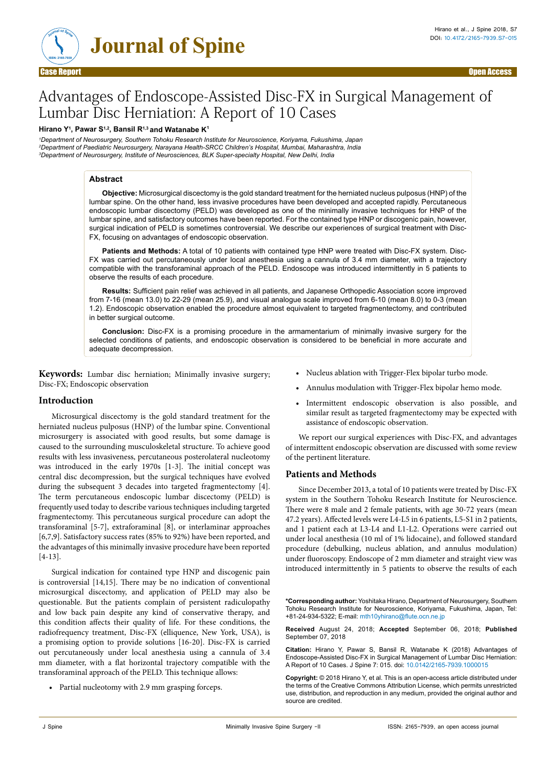

**Journal of Spine**

# Advantages of Endoscope-Assisted Disc-FX in Surgical Management of Lumbar Disc Herniation: A Report of 10 Cases

# **Hirano Y1, Pawar S1,2, Bansil R1,3 and Watanabe K1**

*1Department of Neurosurgery, Southern Tohoku Research Institute for Neuroscience, Koriyama, Fukushima, Japan 2 Department of Paediatric Neurosurgery, Narayana Health-SRCC Children's Hospital, Mumbai, Maharashtra, India 3Department of Neurosurgery, Institute of Neurosciences, BLK Super-specialty Hospital, New Delhi, India*

# **Abstract**

**Objective:** Microsurgical discectomy is the gold standard treatment for the herniated nucleus pulposus (HNP) of the lumbar spine. On the other hand, less invasive procedures have been developed and accepted rapidly. Percutaneous endoscopic lumbar discectomy (PELD) was developed as one of the minimally invasive techniques for HNP of the lumbar spine, and satisfactory outcomes have been reported. For the contained type HNP or discogenic pain, however, surgical indication of PELD is sometimes controversial. We describe our experiences of surgical treatment with Disc-FX, focusing on advantages of endoscopic observation.

**Patients and Methods:** A total of 10 patients with contained type HNP were treated with Disc-FX system. Disc-FX was carried out percutaneously under local anesthesia using a cannula of 3.4 mm diameter, with a trajectory compatible with the transforaminal approach of the PELD. Endoscope was introduced intermittently in 5 patients to observe the results of each procedure.

**Results:** Sufficient pain relief was achieved in all patients, and Japanese Orthopedic Association score improved from 7-16 (mean 13.0) to 22-29 (mean 25.9), and visual analogue scale improved from 6-10 (mean 8.0) to 0-3 (mean 1.2). Endoscopic observation enabled the procedure almost equivalent to targeted fragmentectomy, and contributed in better surgical outcome.

**Conclusion:** Disc-FX is a promising procedure in the armamentarium of minimally invasive surgery for the selected conditions of patients, and endoscopic observation is considered to be beneficial in more accurate and adequate decompression.

**Keywords:** Lumbar disc herniation; Minimally invasive surgery; Disc-FX; Endoscopic observation

# **Introduction**

Microsurgical discectomy is the gold standard treatment for the herniated nucleus pulposus (HNP) of the lumbar spine. Conventional microsurgery is associated with good results, but some damage is caused to the surrounding musculoskeletal structure. To achieve good results with less invasiveness, percutaneous posterolateral nucleotomy was introduced in the early 1970s [1-3]. The initial concept was central disc decompression, but the surgical techniques have evolved during the subsequent 3 decades into targeted fragmentectomy [4]. The term percutaneous endoscopic lumbar discectomy (PELD) is frequently used today to describe various techniques including targeted fragmentectomy. This percutaneous surgical procedure can adopt the transforaminal [5-7], extraforaminal [8], or interlaminar approaches [6,7,9]. Satisfactory success rates (85% to 92%) have been reported, and the advantages of this minimally invasive procedure have been reported [4-13].

Surgical indication for contained type HNP and discogenic pain is controversial [14,15]. There may be no indication of conventional microsurgical discectomy, and application of PELD may also be questionable. But the patients complain of persistent radiculopathy and low back pain despite any kind of conservative therapy, and this condition affects their quality of life. For these conditions, the radiofrequency treatment, Disc-FX (elliquence, New York, USA), is a promising option to provide solutions [16-20]. Disc-FX is carried out percutaneously under local anesthesia using a cannula of 3.4 mm diameter, with a flat horizontal trajectory compatible with the transforaminal approach of the PELD. This technique allows:

**•** Partial nucleotomy with 2.9 mm grasping forceps.

- **•** Nucleus ablation with Trigger-Flex bipolar turbo mode.
- **•** Annulus modulation with Trigger-Flex bipolar hemo mode.
- **•** Intermittent endoscopic observation is also possible, and similar result as targeted fragmentectomy may be expected with assistance of endoscopic observation.

We report our surgical experiences with Disc-FX, and advantages of intermittent endoscopic observation are discussed with some review of the pertinent literature.

# **Patients and Methods**

Since December 2013, a total of 10 patients were treated by Disc-FX system in the Southern Tohoku Research Institute for Neuroscience. There were 8 male and 2 female patients, with age 30-72 years (mean 47.2 years). Affected levels were L4-L5 in 6 patients, L5-S1 in 2 patients, and 1 patient each at L3-L4 and L1-L2. Operations were carried out under local anesthesia (10 ml of 1% lidocaine), and followed standard procedure (debulking, nucleus ablation, and annulus modulation) under fluoroscopy. Endoscope of 2 mm diameter and straight view was introduced intermittently in 5 patients to observe the results of each

**\*Corresponding author:** Yoshitaka Hirano, Department of Neurosurgery, Southern Tohoku Research Institute for Neuroscience, Koriyama, Fukushima, Japan, Tel: +81-24-934-5322; E-mail: mth10yhirano@flute.ocn.ne.jp

**Received** August 24, 2018; **Accepted** September 06, 2018; **Published** September 07, 2018

**Citation:** Hirano Y, Pawar S, Bansil R, Watanabe K (2018) Advantages of Endoscope-Assisted Disc-FX in Surgical Management of Lumbar Disc Herniation: A Report of 10 Cases. J Spine 7: 015. doi: 10.0142/2165-7939.1000015

**Copyright:** © 2018 Hirano Y, et al. This is an open-access article distributed under the terms of the Creative Commons Attribution License, which permits unrestricted use, distribution, and reproduction in any medium, provided the original author and source are credited.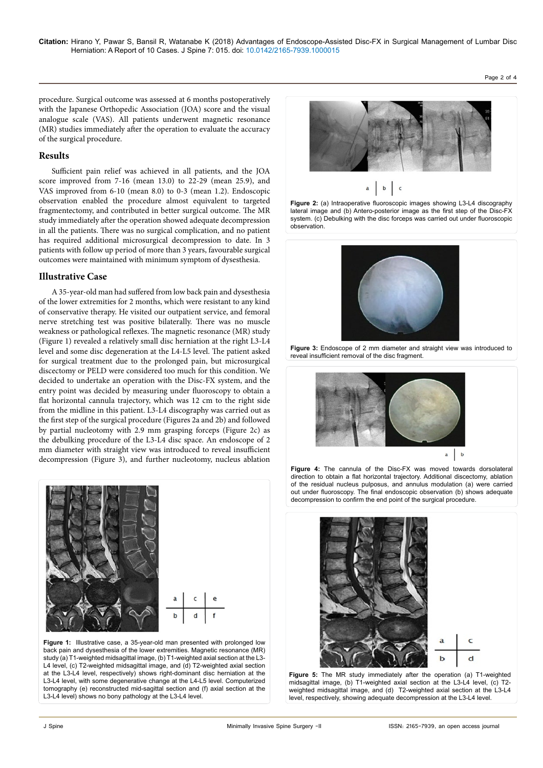Page 2 of 4

procedure. Surgical outcome was assessed at 6 months postoperatively with the Japanese Orthopedic Association (JOA) score and the visual analogue scale (VAS). All patients underwent magnetic resonance (MR) studies immediately after the operation to evaluate the accuracy of the surgical procedure.

## **Results**

Sufficient pain relief was achieved in all patients, and the JOA score improved from 7-16 (mean 13.0) to 22-29 (mean 25.9), and VAS improved from 6-10 (mean 8.0) to 0-3 (mean 1.2). Endoscopic observation enabled the procedure almost equivalent to targeted fragmentectomy, and contributed in better surgical outcome. The MR study immediately after the operation showed adequate decompression in all the patients. There was no surgical complication, and no patient has required additional microsurgical decompression to date. In 3 patients with follow up period of more than 3 years, favourable surgical outcomes were maintained with minimum symptom of dysesthesia.

#### **Illustrative Case**

A 35-year-old man had suffered from low back pain and dysesthesia of the lower extremities for 2 months, which were resistant to any kind of conservative therapy. He visited our outpatient service, and femoral nerve stretching test was positive bilaterally. There was no muscle weakness or pathological reflexes. The magnetic resonance (MR) study (Figure 1) revealed a relatively small disc herniation at the right L3-L4 level and some disc degeneration at the L4-L5 level. The patient asked for surgical treatment due to the prolonged pain, but microsurgical discectomy or PELD were considered too much for this condition. We decided to undertake an operation with the Disc-FX system, and the entry point was decided by measuring under fluoroscopy to obtain a flat horizontal cannula trajectory, which was 12 cm to the right side from the midline in this patient. L3-L4 discography was carried out as the first step of the surgical procedure (Figures 2a and 2b) and followed by partial nucleotomy with 2.9 mm grasping forceps (Figure 2c) as the debulking procedure of the L3-L4 disc space. An endoscope of 2 mm diameter with straight view was introduced to reveal insufficient decompression (Figure 3), and further nucleotomy, nucleus ablation



**Figure 1:** Illustrative case, a 35-year-old man presented with prolonged low back pain and dysesthesia of the lower extremities. Magnetic resonance (MR) study (a) T1-weighted midsagittal image, (b) T1-weighted axial section at the L3-L4 level, (c) T2-weighted midsagittal image, and (d) T2-weighted axial section at the L3-L4 level, respectively) shows right-dominant disc herniation at the L3-L4 level, with some degenerative change at the L4-L5 level. Computerized tomography (e) reconstructed mid-sagittal section and (f) axial section at the L3-L4 level) shows no bony pathology at the L3-L4 level.



**Figure 2:** (a) Intraoperative fluoroscopic images showing L3-L4 discography lateral image and (b) Antero-posterior image as the first step of the Disc-FX system. (c) Debulking with the disc forceps was carried out under fluoroscopic observation.



**Figure 3:** Endoscope of 2 mm diameter and straight view was introduced to reveal insufficient removal of the disc fragment.



**Figure 4:** The cannula of the Disc-FX was moved towards dorsolateral direction to obtain a flat horizontal trajectory. Additional discectomy, ablation of the residual nucleus pulposus, and annulus modulation (a) were carried out under fluoroscopy. The final endoscopic observation (b) shows adequate decompression to confirm the end point of the surgical procedure.



**Figure 5:** The MR study immediately after the operation (a) T1-weighted midsagittal image, (b) T1-weighted axial section at the L3-L4 level, (c) T2 weighted midsagittal image, and (d) T2-weighted axial section at the L3-L4 level, respectively, showing adequate decompression at the L3-L4 level.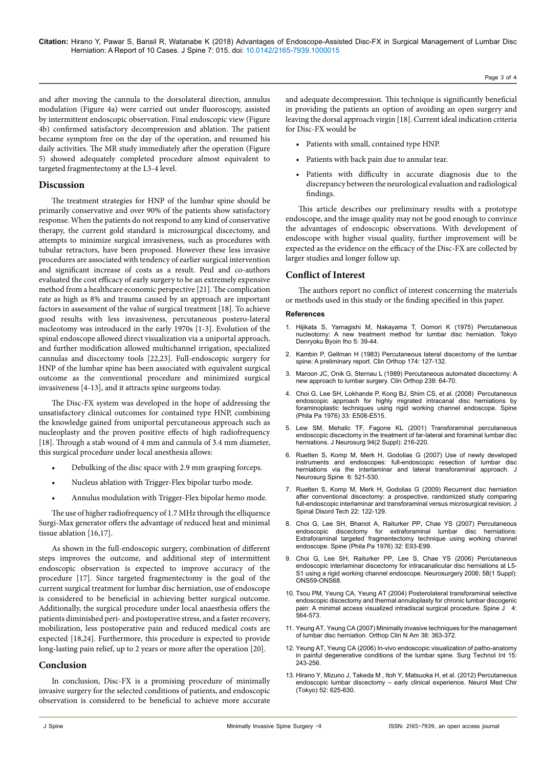Page 3 of 4

and after moving the cannula to the dorsolateral direction, annulus modulation (Figure 4a) were carried out under fluoroscopy, assisted by intermittent endoscopic observation. Final endoscopic view (Figure 4b) confirmed satisfactory decompression and ablation. The patient became symptom free on the day of the operation, and resumed his daily activities. The MR study immediately after the operation (Figure 5) showed adequately completed procedure almost equivalent to targeted fragmentectomy at the L3-4 level.

# **Discussion**

The treatment strategies for HNP of the lumbar spine should be primarily conservative and over 90% of the patients show satisfactory response. When the patients do not respond to any kind of conservative therapy, the current gold standard is microsurgical discectomy, and attempts to minimize surgical invasiveness, such as procedures with tubular retractors, have been proposed. However these less invasive procedures are associated with tendency of earlier surgical intervention and significant increase of costs as a result. Peul and co-authors evaluated the cost efficacy of early surgery to be an extremely expensive method from a healthcare economic perspective [21]. The complication rate as high as 8% and trauma caused by an approach are important factors in assessment of the value of surgical treatment [18]. To achieve good results with less invasiveness, percutaneous postero-lateral nucleotomy was introduced in the early 1970s [1-3]. Evolution of the spinal endoscope allowed direct visualization via a uniportal approach, and further modification allowed multichannel irrigation, specialized cannulas and discectomy tools [22,23]. Full-endoscopic surgery for HNP of the lumbar spine has been associated with equivalent surgical outcome as the conventional procedure and minimized surgical invasiveness [4-13], and it attracts spine surgeons today.

The Disc-FX system was developed in the hope of addressing the unsatisfactory clinical outcomes for contained type HNP, combining the knowledge gained from uniportal percutaneous approach such as nucleoplasty and the proven positive effects of high radiofrequency [18]. Through a stab wound of 4 mm and cannula of 3.4 mm diameter, this surgical procedure under local anesthesia allows:

- **•** Debulking of the disc space with 2.9 mm grasping forceps.
- **•** Nucleus ablation with Trigger-Flex bipolar turbo mode.
- **•** Annulus modulation with Trigger-Flex bipolar hemo mode.

The use of higher radiofrequency of 1.7 MHz through the elliquence Surgi-Max generator offers the advantage of reduced heat and minimal tissue ablation [16,17].

As shown in the full-endoscopic surgery, combination of different steps improves the outcome, and additional step of intermittent endoscopic observation is expected to improve accuracy of the procedure [17]. Since targeted fragmentectomy is the goal of the current surgical treatment for lumbar disc herniation, use of endoscope is considered to be beneficial in achieving better surgical outcome. Additionally, the surgical procedure under local anaesthesia offers the patients diminished peri- and postoperative stress, and a faster recovery, mobilization, less postoperative pain and reduced medical costs are expected [18,24]. Furthermore, this procedure is expected to provide long-lasting pain relief, up to 2 years or more after the operation [20].

## **Conclusion**

In conclusion, Disc-FX is a promising procedure of minimally invasive surgery for the selected conditions of patients, and endoscopic observation is considered to be beneficial to achieve more accurate

and adequate decompression. This technique is significantly beneficial in providing the patients an option of avoiding an open surgery and leaving the dorsal approach virgin [18]. Current ideal indication criteria for Disc-FX would be

- **•** Patients with small, contained type HNP.
- **•** Patients with back pain due to annular tear.
- Patients with difficulty in accurate diagnosis due to the discrepancy between the neurological evaluation and radiological findings.

This article describes our preliminary results with a prototype endoscope, and the image quality may not be good enough to convince the advantages of endoscopic observations. With development of endoscope with higher visual quality, further improvement will be expected as the evidence on the efficacy of the Disc-FX are collected by larger studies and longer follow up.

# **Conflict of Interest**

The authors report no conflict of interest concerning the materials or methods used in this study or the finding specified in this paper.

#### **References**

- 1. [Hijikata S, Yamagishi M, Nakayama T, Oomori K \(1975\) Percutaneous](https://www.sciencedirect.com/science/article/pii/S0949265815338896)  [nucleotomy: A new treatment method for lumbar disc herniation. Tokyo](https://www.sciencedirect.com/science/article/pii/S0949265815338896)  [Denryoku Byoin Iho 5: 39-44.](https://www.sciencedirect.com/science/article/pii/S0949265815338896)
- 2. [Kambin P, Gellman H \(1983\) Percutaneous lateral discectomy of the lumbar](http://dx.doi.org/10.1097/00003086-198304000-00015)  [spine: A preliminary report. Clin Orthop 174: 127-132.](http://dx.doi.org/10.1097/00003086-198304000-00015)
- Maroon JC, Onik G, Sternau L (1989) Percutaneous automated discectomy: A [new approach to lumbar surgery. Clin Orthop 238: 64-70.](http://dx.doi.org/10.3171/jns.1987.66.1.0143)
- 4. [Choi G, Lee SH, Lokhande P, Kong BJ, Shim CS, et al. \(2008\) Percutaneous](http://dx.doi.org/10.1097/BRS.0b013e31817bfa1a)  [endoscopic approach for highly migrated intracanal disc herniations by](http://dx.doi.org/10.1097/BRS.0b013e31817bfa1a)  [foraminoplastic techniques using rigid working channel endoscope. Spine](http://dx.doi.org/10.1097/BRS.0b013e31817bfa1a)  [\(Phila Pa 1976\) 33: E508-E515.](http://dx.doi.org/10.1097/BRS.0b013e31817bfa1a)
- 5. [Lew SM, Mehalic TF, Fagone KL \(2001\) Transforaminal percutaneous](http://thejns.org/toc/jns/current)  [endoscopic discectomy in the treatment of far-lateral and foraminal lumbar disc](http://thejns.org/toc/jns/current)  [herniations. J Neurosurg 94\(2 Suppl\): 216-220.](http://thejns.org/toc/jns/current)
- 6. [Ruetten S, Komp M, Merk H, Godolias G \(2007\) Use of newly developed](http://dx.doi.org/10.3171/spi.2007.6.6.2)  [instruments and endoscopes: full-endoscopic resection of lumbar disc](http://dx.doi.org/10.3171/spi.2007.6.6.2)  [herniations via the interlaminar and lateral transforaminal approach. J](http://dx.doi.org/10.3171/spi.2007.6.6.2)  [Neurosurg Spine 6: 521-530.](http://dx.doi.org/10.3171/spi.2007.6.6.2)
- 7. [Ruetten S, Komp M, Merk H, Godolias G \(2009\) Recurrent disc herniation](http://dx.doi.org/10.1097/BSD.0b013e318175ddb4)  [after conventional discectomy: a prospective, randomized study comparing](http://dx.doi.org/10.1097/BSD.0b013e318175ddb4)  [full-endoscopic interlaminar and transforaminal versus microsurgical revision. J](http://dx.doi.org/10.1097/BSD.0b013e318175ddb4)  [Spinal Disord Tech 22: 122-129.](http://dx.doi.org/10.1097/BSD.0b013e318175ddb4)
- 8. [Choi G, Lee SH, Bhanot A, Raiturker PP, Chae YS \(2007\) Percutaneous](http://dx.doi.org/10.1097/01.brs.0000252093.31632.54)  [endoscopic discectomy for extraforaminal lumbar disc herniations:](http://dx.doi.org/10.1097/01.brs.0000252093.31632.54)  [Extraforaminal targeted fragmentectomy technique using working channel](http://dx.doi.org/10.1097/01.brs.0000252093.31632.54)  [endoscope. Spine \(Phila Pa 1976\) 32: E93-E99.](http://dx.doi.org/10.1097/01.brs.0000252093.31632.54)
- 9. [Choi G, Lee SH, Raiturker PP, Lee S, Chae YS \(2006\) Percutaneous](http://ovidsp.ovid.com/ovidweb.cgi?T=JS&NEWS=n&CSC=Y&PAGE=toc&D=yrovft&AN=00006123-000000000-00000)  [endoscopic interlaminar discectomy for intracanalicular disc herniations at L5-](http://ovidsp.ovid.com/ovidweb.cgi?T=JS&NEWS=n&CSC=Y&PAGE=toc&D=yrovft&AN=00006123-000000000-00000) [S1 using a rigid working channel endoscope. Neurosurgery 2006; 58\(1 Suppl\):](http://ovidsp.ovid.com/ovidweb.cgi?T=JS&NEWS=n&CSC=Y&PAGE=toc&D=yrovft&AN=00006123-000000000-00000)  [ONS59-ONS68.](http://ovidsp.ovid.com/ovidweb.cgi?T=JS&NEWS=n&CSC=Y&PAGE=toc&D=yrovft&AN=00006123-000000000-00000)
- 10. [Tsou PM, Yeung CA, Yeung AT \(2004\) Posterolateral transforaminal selective](http://dx.doi.org/10.1016/j.spinee.2004.01.014)  [endoscopic discectomy and thermal annuloplasty for chronic lumbar discogenic](http://dx.doi.org/10.1016/j.spinee.2004.01.014)  [pain: A minimal access visualized intradiscal surgical procedure. Spine J 4:](http://dx.doi.org/10.1016/j.spinee.2004.01.014)  [564-573.](http://dx.doi.org/10.1016/j.spinee.2004.01.014)
- 11. [Yeung AT, Yeung CA \(2007\) Minimally invasive techniques for the management](http://dx.doi.org/10.1016/j.ocl.2007.04.005)  [of lumbar disc herniation. Orthop Clin N Am 38: 363-372.](http://dx.doi.org/10.1016/j.ocl.2007.04.005)
- 12. [Yeung AT, Yeung CA \(2006\) In-vivo endoscopic visualization of patho-anatomy](http://www.ump.com/)  [in painful degenerative conditions of the lumbar spine. Surg Technol Int 15:](http://www.ump.com/)  [243-256.](http://www.ump.com/)
- 13. [Hirano Y, Mizuno J, Takeda M , Itoh Y, Matsuoka H, et al. \(2012\) Percutaneous](https://www.jstage.jst.go.jp/browse/nmc/)  endoscopic lumbar discectomy - early clinical experience. Neurol Med Chir [\(Tokyo\) 52: 625-630.](https://www.jstage.jst.go.jp/browse/nmc/)